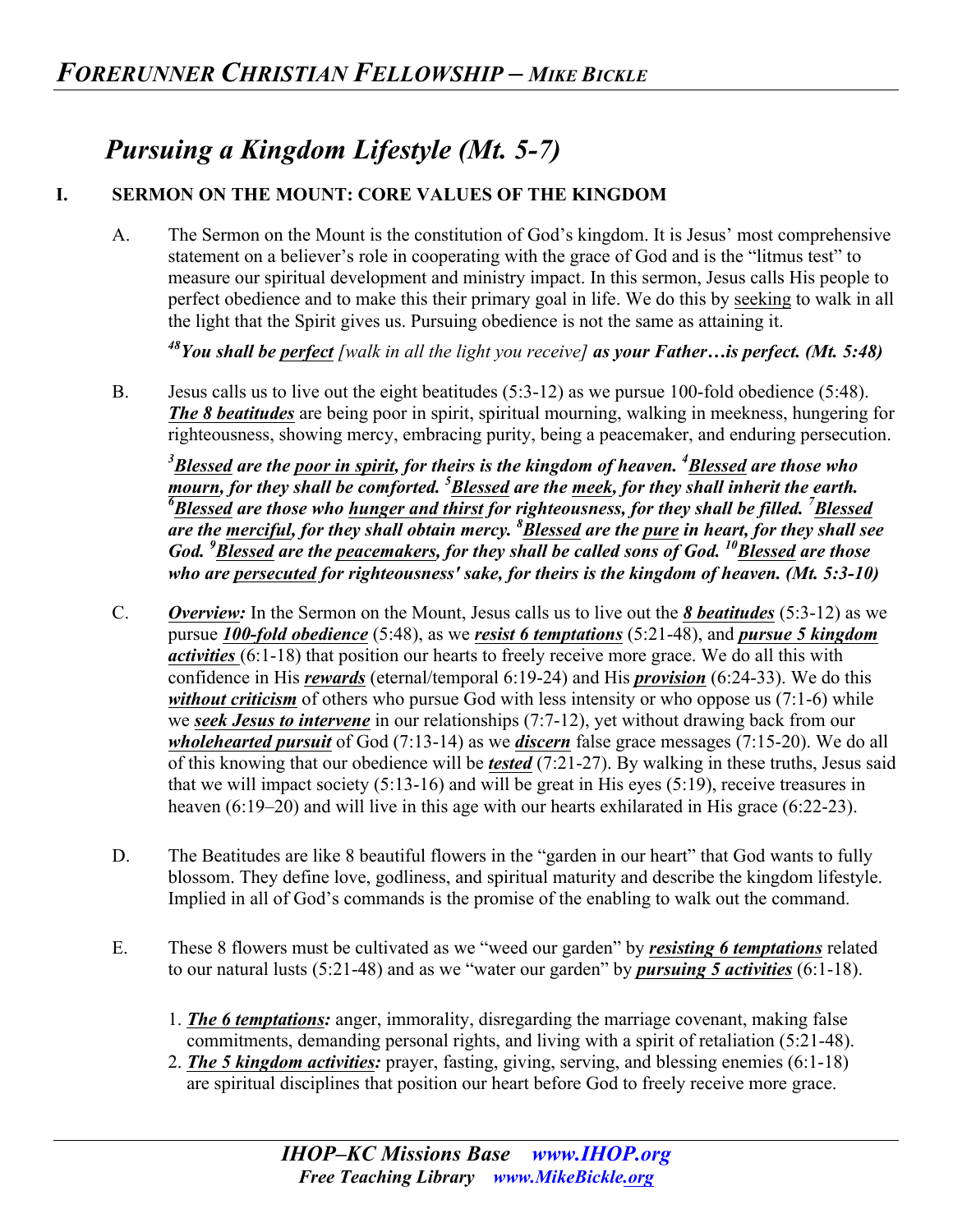## *Pursuing a Kingdom Lifestyle (Mt. 5-7)*

## **I. SERMON ON THE MOUNT: CORE VALUES OF THE KINGDOM**

A. The Sermon on the Mount is the constitution of God's kingdom. It is Jesus' most comprehensive statement on a believer's role in cooperating with the grace of God and is the "litmus test" to measure our spiritual development and ministry impact. In this sermon, Jesus calls His people to perfect obedience and to make this their primary goal in life. We do this by seeking to walk in all the light that the Spirit gives us. Pursuing obedience is not the same as attaining it.

*48You shall be perfect [walk in all the light you receive] as your Father…is perfect. (Mt. 5:48)* 

B. Jesus calls us to live out the eight beatitudes (5:3-12) as we pursue 100-fold obedience (5:48). *The 8 beatitudes* are being poor in spirit, spiritual mourning, walking in meekness, hungering for righteousness, showing mercy, embracing purity, being a peacemaker, and enduring persecution.

*3 Blessed are the poor in spirit, for theirs is the kingdom of heaven. <sup>4</sup> Blessed are those who mourn, for they shall be comforted. <sup>5</sup> Blessed are the meek, for they shall inherit the earth. 6 Blessed are those who hunger and thirst for righteousness, for they shall be filled. <sup>7</sup> Blessed are the merciful, for they shall obtain mercy. <sup>8</sup> Blessed are the pure in heart, for they shall see God.* <sup>9</sup> Blessed are the peacemakers, for they shall be called sons of God. <sup>10</sup> Blessed are those *who are persecuted for righteousness' sake, for theirs is the kingdom of heaven. (Mt. 5:3-10)* 

- C. *Overview:* In the Sermon on the Mount, Jesus calls us to live out the *8 beatitudes* (5:3-12) as we pursue *100-fold obedience* (5:48), as we *resist 6 temptations* (5:21-48), and *pursue 5 kingdom activities* (6:1-18) that position our hearts to freely receive more grace. We do all this with confidence in His *rewards* (eternal/temporal 6:19-24) and His *provision* (6:24-33). We do this *without criticism* of others who pursue God with less intensity or who oppose us (7:1-6) while we *seek Jesus to intervene* in our relationships (7:7-12), yet without drawing back from our *wholehearted pursuit* of God (7:13-14) as we *discern* false grace messages (7:15-20). We do all of this knowing that our obedience will be *tested* (7:21-27). By walking in these truths, Jesus said that we will impact society (5:13-16) and will be great in His eyes (5:19), receive treasures in heaven (6:19–20) and will live in this age with our hearts exhilarated in His grace (6:22-23).
- D. The Beatitudes are like 8 beautiful flowers in the "garden in our heart" that God wants to fully blossom. They define love, godliness, and spiritual maturity and describe the kingdom lifestyle. Implied in all of God's commands is the promise of the enabling to walk out the command.
- E. These 8 flowers must be cultivated as we "weed our garden" by *resisting 6 temptations* related to our natural lusts (5:21-48) and as we "water our garden" by *pursuing 5 activities* (6:1-18).
	- 1. *The 6 temptations:* anger, immorality, disregarding the marriage covenant, making false commitments, demanding personal rights, and living with a spirit of retaliation (5:21-48).
	- 2. *The 5 kingdom activities:* prayer, fasting, giving, serving, and blessing enemies (6:1-18) are spiritual disciplines that position our heart before God to freely receive more grace.